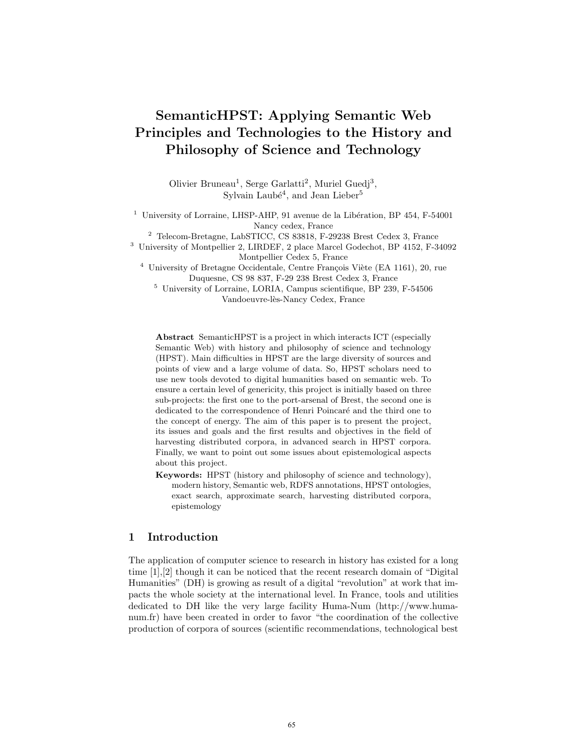# SemanticHPST: Applying Semantic Web Principles and Technologies to the History and Philosophy of Science and Technology

Olivier Bruneau<sup>1</sup>, Serge Garlatti<sup>2</sup>, Muriel Guedj<sup>3</sup>, Sylvain Laubé<sup>4</sup>, and Jean Lieber<sup>5</sup>

 $^1\,$  University of Lorraine, LHSP-AHP, 91 avenue de la Libération, BP 454, F-54001 Nancy cedex, France

<sup>2</sup> Telecom-Bretagne, LabSTICC, CS 83818, F-29238 Brest Cedex 3, France

<sup>3</sup> University of Montpellier 2, LIRDEF, 2 place Marcel Godechot, BP 4152, F-34092 Montpellier Cedex 5, France

 $4$  University of Bretagne Occidentale, Centre François Viète (EA 1161), 20, rue Duquesne, CS 98 837, F-29 238 Brest Cedex 3, France

 $^5\,$  University of Lorraine, LORIA, Campus scientifique, BP 239, F-54506 Vandoeuvre-lès-Nancy Cedex, France

Abstract SemanticHPST is a project in which interacts ICT (especially Semantic Web) with history and philosophy of science and technology (HPST). Main difficulties in HPST are the large diversity of sources and points of view and a large volume of data. So, HPST scholars need to use new tools devoted to digital humanities based on semantic web. To ensure a certain level of genericity, this project is initially based on three sub-projects: the first one to the port-arsenal of Brest, the second one is dedicated to the correspondence of Henri Poincaré and the third one to the concept of energy. The aim of this paper is to present the project, its issues and goals and the first results and objectives in the field of harvesting distributed corpora, in advanced search in HPST corpora. Finally, we want to point out some issues about epistemological aspects about this project.

Keywords: HPST (history and philosophy of science and technology), modern history, Semantic web, RDFS annotations, HPST ontologies, exact search, approximate search, harvesting distributed corpora, epistemology

## 1 Introduction

The application of computer science to research in history has existed for a long time [1],[2] though it can be noticed that the recent research domain of "Digital Humanities" (DH) is growing as result of a digital "revolution" at work that impacts the whole society at the international level. In France, tools and utilities dedicated to DH like the very large facility Huma-Num (http://www.humanum.fr) have been created in order to favor "the coordination of the collective production of corpora of sources (scientific recommendations, technological best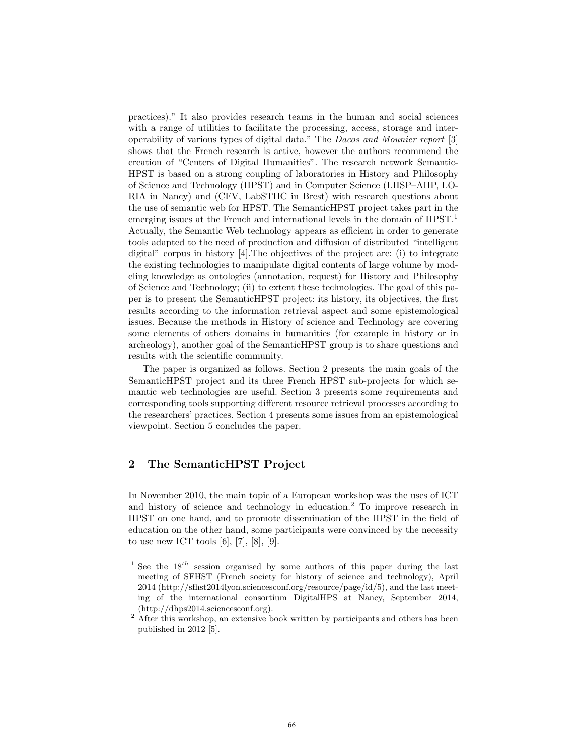practices)." It also provides research teams in the human and social sciences with a range of utilities to facilitate the processing, access, storage and interoperability of various types of digital data." The Dacos and Mounier report [3] shows that the French research is active, however the authors recommend the creation of "Centers of Digital Humanities". The research network Semantic-HPST is based on a strong coupling of laboratories in History and Philosophy of Science and Technology (HPST) and in Computer Science (LHSP–AHP, LO-RIA in Nancy) and (CFV, LabSTIIC in Brest) with research questions about the use of semantic web for HPST. The SemanticHPST project takes part in the emerging issues at the French and international levels in the domain of HPST.<sup>1</sup> Actually, the Semantic Web technology appears as efficient in order to generate tools adapted to the need of production and diffusion of distributed "intelligent digital" corpus in history [4].The objectives of the project are: (i) to integrate the existing technologies to manipulate digital contents of large volume by modeling knowledge as ontologies (annotation, request) for History and Philosophy of Science and Technology; (ii) to extent these technologies. The goal of this paper is to present the SemanticHPST project: its history, its objectives, the first results according to the information retrieval aspect and some epistemological issues. Because the methods in History of science and Technology are covering some elements of others domains in humanities (for example in history or in archeology), another goal of the SemanticHPST group is to share questions and results with the scientific community.

The paper is organized as follows. Section 2 presents the main goals of the SemanticHPST project and its three French HPST sub-projects for which semantic web technologies are useful. Section 3 presents some requirements and corresponding tools supporting different resource retrieval processes according to the researchers' practices. Section 4 presents some issues from an epistemological viewpoint. Section 5 concludes the paper.

# 2 The SemanticHPST Project

In November 2010, the main topic of a European workshop was the uses of ICT and history of science and technology in education.<sup>2</sup> To improve research in HPST on one hand, and to promote dissemination of the HPST in the field of education on the other hand, some participants were convinced by the necessity to use new ICT tools [6], [7], [8], [9].

<sup>&</sup>lt;sup>1</sup> See the  $18^{th}$  session organised by some authors of this paper during the last meeting of SFHST (French society for history of science and technology), April 2014 (http://sfhst2014lyon.sciencesconf.org/resource/page/id/5), and the last meeting of the international consortium DigitalHPS at Nancy, September 2014, (http://dhps2014.sciencesconf.org).

<sup>&</sup>lt;sup>2</sup> After this workshop, an extensive book written by participants and others has been published in 2012 [5].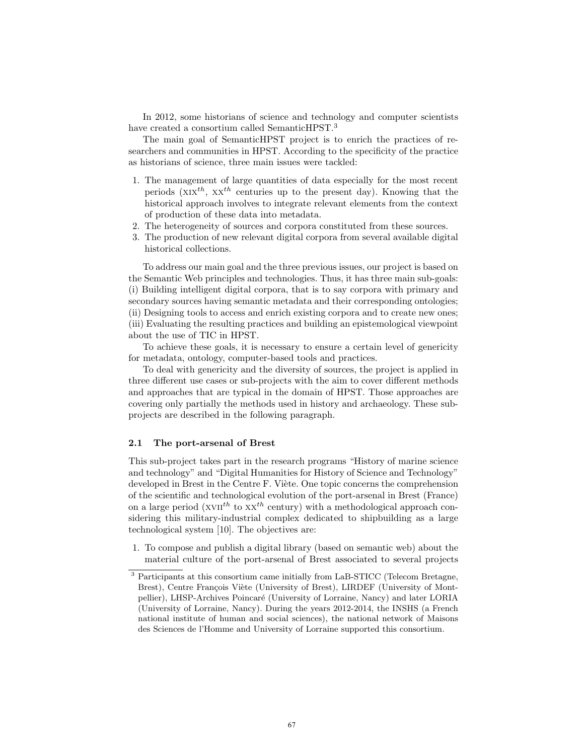In 2012, some historians of science and technology and computer scientists have created a consortium called SemanticHPST.<sup>3</sup>

The main goal of SemanticHPST project is to enrich the practices of researchers and communities in HPST. According to the specificity of the practice as historians of science, three main issues were tackled:

- 1. The management of large quantities of data especially for the most recent periods  $(XIX^{th}, XX^{th}$  centuries up to the present day). Knowing that the historical approach involves to integrate relevant elements from the context of production of these data into metadata.
- 2. The heterogeneity of sources and corpora constituted from these sources.
- 3. The production of new relevant digital corpora from several available digital historical collections.

To address our main goal and the three previous issues, our project is based on the Semantic Web principles and technologies. Thus, it has three main sub-goals: (i) Building intelligent digital corpora, that is to say corpora with primary and secondary sources having semantic metadata and their corresponding ontologies; (ii) Designing tools to access and enrich existing corpora and to create new ones; (iii) Evaluating the resulting practices and building an epistemological viewpoint about the use of TIC in HPST.

To achieve these goals, it is necessary to ensure a certain level of genericity for metadata, ontology, computer-based tools and practices.

To deal with genericity and the diversity of sources, the project is applied in three different use cases or sub-projects with the aim to cover different methods and approaches that are typical in the domain of HPST. Those approaches are covering only partially the methods used in history and archaeology. These subprojects are described in the following paragraph.

### 2.1 The port-arsenal of Brest

This sub-project takes part in the research programs "History of marine science and technology" and "Digital Humanities for History of Science and Technology" developed in Brest in the Centre F. Viète. One topic concerns the comprehension of the scientific and technological evolution of the port-arsenal in Brest (France) on a large period ( $xVII^{th}$  to  $XX^{th}$  century) with a methodological approach considering this military-industrial complex dedicated to shipbuilding as a large technological system [10]. The objectives are:

1. To compose and publish a digital library (based on semantic web) about the material culture of the port-arsenal of Brest associated to several projects

<sup>&</sup>lt;sup>3</sup> Participants at this consortium came initially from LaB-STICC (Telecom Bretagne, Brest), Centre François Viète (University of Brest), LIRDEF (University of Montpellier), LHSP-Archives Poincaré (University of Lorraine, Nancy) and later LORIA (University of Lorraine, Nancy). During the years 2012-2014, the INSHS (a French national institute of human and social sciences), the national network of Maisons des Sciences de l'Homme and University of Lorraine supported this consortium.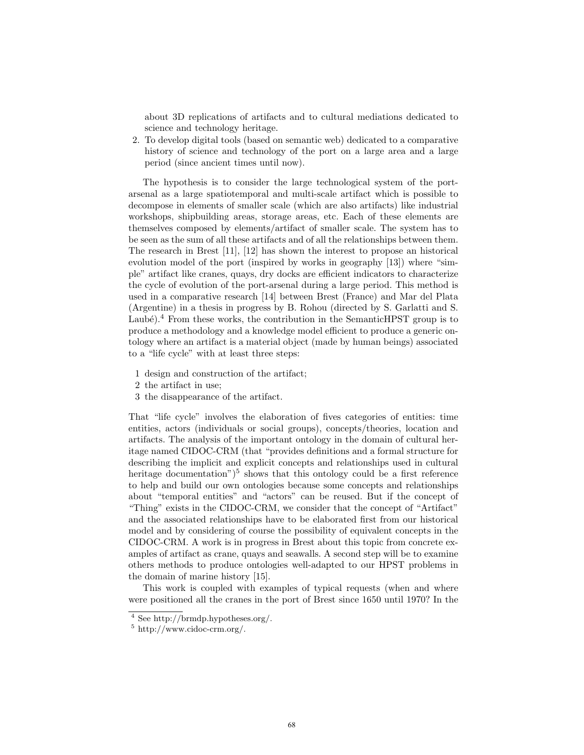about 3D replications of artifacts and to cultural mediations dedicated to science and technology heritage.

2. To develop digital tools (based on semantic web) dedicated to a comparative history of science and technology of the port on a large area and a large period (since ancient times until now).

The hypothesis is to consider the large technological system of the portarsenal as a large spatiotemporal and multi-scale artifact which is possible to decompose in elements of smaller scale (which are also artifacts) like industrial workshops, shipbuilding areas, storage areas, etc. Each of these elements are themselves composed by elements/artifact of smaller scale. The system has to be seen as the sum of all these artifacts and of all the relationships between them. The research in Brest [11], [12] has shown the interest to propose an historical evolution model of the port (inspired by works in geography [13]) where "simple" artifact like cranes, quays, dry docks are efficient indicators to characterize the cycle of evolution of the port-arsenal during a large period. This method is used in a comparative research [14] between Brest (France) and Mar del Plata (Argentine) in a thesis in progress by B. Rohou (directed by S. Garlatti and S. Laubé).<sup>4</sup> From these works, the contribution in the SemanticHPST group is to produce a methodology and a knowledge model efficient to produce a generic ontology where an artifact is a material object (made by human beings) associated to a "life cycle" with at least three steps:

- 1 design and construction of the artifact;
- 2 the artifact in use;
- 3 the disappearance of the artifact.

That "life cycle" involves the elaboration of fives categories of entities: time entities, actors (individuals or social groups), concepts/theories, location and artifacts. The analysis of the important ontology in the domain of cultural heritage named CIDOC-CRM (that "provides definitions and a formal structure for describing the implicit and explicit concepts and relationships used in cultural heritage documentation")<sup>5</sup> shows that this ontology could be a first reference to help and build our own ontologies because some concepts and relationships about "temporal entities" and "actors" can be reused. But if the concept of "Thing" exists in the CIDOC-CRM, we consider that the concept of "Artifact" and the associated relationships have to be elaborated first from our historical model and by considering of course the possibility of equivalent concepts in the CIDOC-CRM. A work is in progress in Brest about this topic from concrete examples of artifact as crane, quays and seawalls. A second step will be to examine others methods to produce ontologies well-adapted to our HPST problems in the domain of marine history [15].

This work is coupled with examples of typical requests (when and where were positioned all the cranes in the port of Brest since 1650 until 1970? In the

<sup>&</sup>lt;sup>4</sup> See http://brmdp.hypotheses.org/.

 $5 \text{ http://www.cidoc-crm.org/}.$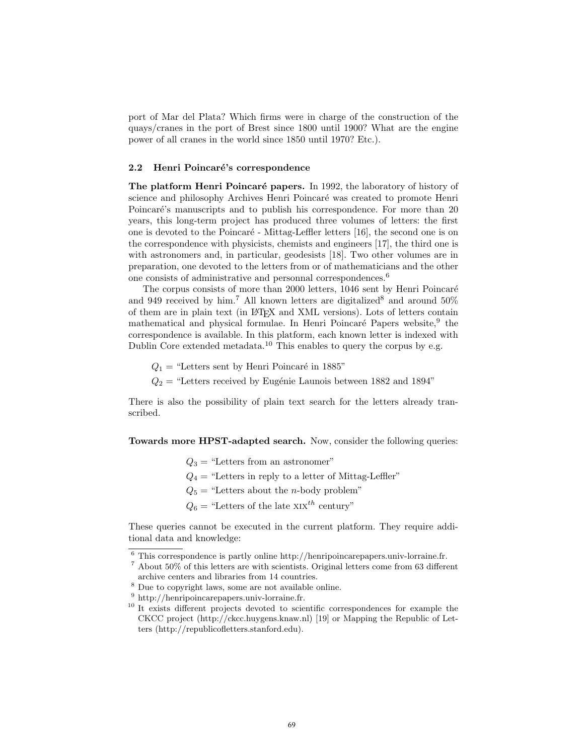port of Mar del Plata? Which firms were in charge of the construction of the quays/cranes in the port of Brest since 1800 until 1900? What are the engine power of all cranes in the world since 1850 until 1970? Etc.).

### 2.2 Henri Poincaré's correspondence

The platform Henri Poincaré papers. In 1992, the laboratory of history of science and philosophy Archives Henri Poincaré was created to promote Henri Poincaré's manuscripts and to publish his correspondence. For more than 20 years, this long-term project has produced three volumes of letters: the first one is devoted to the Poincaré - Mittag-Leffler letters [16], the second one is on the correspondence with physicists, chemists and engineers [17], the third one is with astronomers and, in particular, geodesists [18]. Two other volumes are in preparation, one devoted to the letters from or of mathematicians and the other one consists of administrative and personnal correspondences.<sup>6</sup>

The corpus consists of more than 2000 letters, 1046 sent by Henri Poincaré and 949 received by him.<sup>7</sup> All known letters are digitalized<sup>8</sup> and around  $50\%$ of them are in plain text (in LATEX and XML versions). Lots of letters contain mathematical and physical formulae. In Henri Poincaré Papers website, <sup>9</sup> the correspondence is available. In this platform, each known letter is indexed with Dublin Core extended metadata.<sup>10</sup> This enables to query the corpus by e.g.

 $Q_1$  = "Letters sent by Henri Poincaré in 1885"

 $Q_2$  = "Letters received by Eugénie Launois between 1882 and 1894"

There is also the possibility of plain text search for the letters already transcribed.

Towards more HPST-adapted search. Now, consider the following queries:

 $Q_3$  = "Letters from an astronomer"  $Q_4$  = "Letters in reply to a letter of Mittag-Leffler"  $Q_5$  = "Letters about the *n*-body problem"  $Q_6$  = "Letters of the late  $XIX^{th}$  century"

These queries cannot be executed in the current platform. They require additional data and knowledge:

 $^6$  This correspondence is partly online http://henripoincarepapers.univ-lorraine.fr.

 $7$  About 50% of this letters are with scientists. Original letters come from 63 different archive centers and libraries from 14 countries.

<sup>8</sup> Due to copyright laws, some are not available online.

<sup>9</sup> http://henripoincarepapers.univ-lorraine.fr.

<sup>&</sup>lt;sup>10</sup> It exists different projects devoted to scientific correspondences for example the CKCC project (http://ckcc.huygens.knaw.nl) [19] or Mapping the Republic of Letters (http://republicofletters.stanford.edu).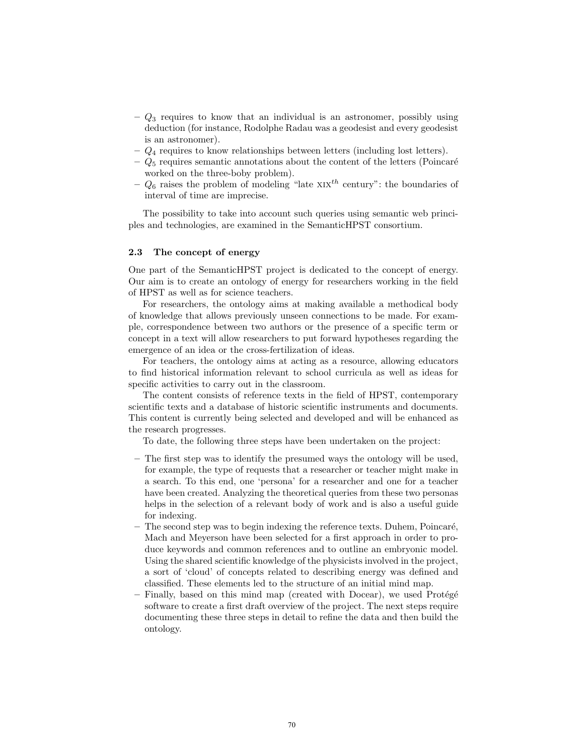- $Q_3$  requires to know that an individual is an astronomer, possibly using deduction (for instance, Rodolphe Radau was a geodesist and every geodesist is an astronomer).
- $Q_4$  requires to know relationships between letters (including lost letters).
- $Q_5$  requires semantic annotations about the content of the letters (Poincaré worked on the three-boby problem).
- $Q_6$  raises the problem of modeling "late XIX<sup>th</sup> century": the boundaries of interval of time are imprecise.

The possibility to take into account such queries using semantic web principles and technologies, are examined in the SemanticHPST consortium.

#### 2.3 The concept of energy

One part of the SemanticHPST project is dedicated to the concept of energy. Our aim is to create an ontology of energy for researchers working in the field of HPST as well as for science teachers.

For researchers, the ontology aims at making available a methodical body of knowledge that allows previously unseen connections to be made. For example, correspondence between two authors or the presence of a specific term or concept in a text will allow researchers to put forward hypotheses regarding the emergence of an idea or the cross-fertilization of ideas.

For teachers, the ontology aims at acting as a resource, allowing educators to find historical information relevant to school curricula as well as ideas for specific activities to carry out in the classroom.

The content consists of reference texts in the field of HPST, contemporary scientific texts and a database of historic scientific instruments and documents. This content is currently being selected and developed and will be enhanced as the research progresses.

To date, the following three steps have been undertaken on the project:

- The first step was to identify the presumed ways the ontology will be used, for example, the type of requests that a researcher or teacher might make in a search. To this end, one 'persona' for a researcher and one for a teacher have been created. Analyzing the theoretical queries from these two personas helps in the selection of a relevant body of work and is also a useful guide for indexing.
- $-$  The second step was to begin indexing the reference texts. Duhem, Poincaré, Mach and Meyerson have been selected for a first approach in order to produce keywords and common references and to outline an embryonic model. Using the shared scientific knowledge of the physicists involved in the project, a sort of 'cloud' of concepts related to describing energy was defined and classified. These elements led to the structure of an initial mind map.
- Finally, based on this mind map (created with Docear), we used Protégé software to create a first draft overview of the project. The next steps require documenting these three steps in detail to refine the data and then build the ontology.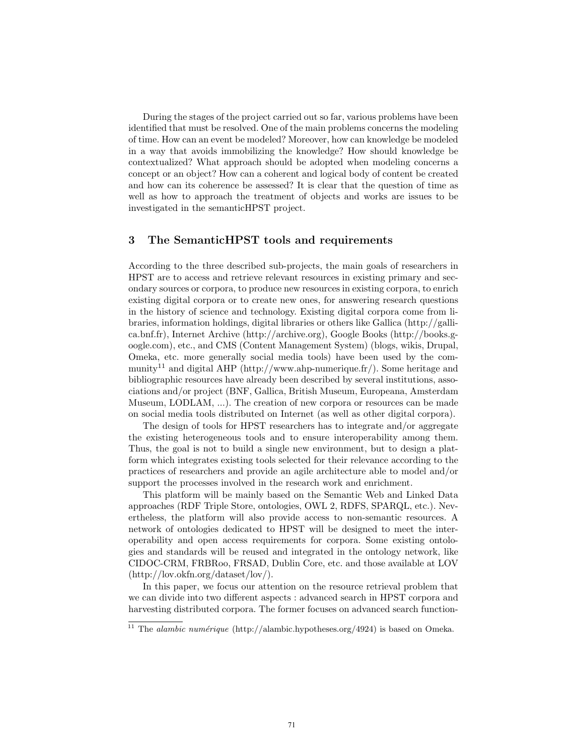During the stages of the project carried out so far, various problems have been identified that must be resolved. One of the main problems concerns the modeling of time. How can an event be modeled? Moreover, how can knowledge be modeled in a way that avoids immobilizing the knowledge? How should knowledge be contextualized? What approach should be adopted when modeling concerns a concept or an object? How can a coherent and logical body of content be created and how can its coherence be assessed? It is clear that the question of time as well as how to approach the treatment of objects and works are issues to be investigated in the semanticHPST project.

## 3 The SemanticHPST tools and requirements

According to the three described sub-projects, the main goals of researchers in HPST are to access and retrieve relevant resources in existing primary and secondary sources or corpora, to produce new resources in existing corpora, to enrich existing digital corpora or to create new ones, for answering research questions in the history of science and technology. Existing digital corpora come from libraries, information holdings, digital libraries or others like Gallica (http://gallica.bnf.fr), Internet Archive (http://archive.org), Google Books (http://books.google.com), etc., and CMS (Content Management System) (blogs, wikis, Drupal, Omeka, etc. more generally social media tools) have been used by the community<sup>11</sup> and digital AHP (http://www.ahp-numerique.fr/). Some heritage and bibliographic resources have already been described by several institutions, associations and/or project (BNF, Gallica, British Museum, Europeana, Amsterdam Museum, LODLAM, ...). The creation of new corpora or resources can be made on social media tools distributed on Internet (as well as other digital corpora).

The design of tools for HPST researchers has to integrate and/or aggregate the existing heterogeneous tools and to ensure interoperability among them. Thus, the goal is not to build a single new environment, but to design a platform which integrates existing tools selected for their relevance according to the practices of researchers and provide an agile architecture able to model and/or support the processes involved in the research work and enrichment.

This platform will be mainly based on the Semantic Web and Linked Data approaches (RDF Triple Store, ontologies, OWL 2, RDFS, SPARQL, etc.). Nevertheless, the platform will also provide access to non-semantic resources. A network of ontologies dedicated to HPST will be designed to meet the interoperability and open access requirements for corpora. Some existing ontologies and standards will be reused and integrated in the ontology network, like CIDOC-CRM, FRBRoo, FRSAD, Dublin Core, etc. and those available at LOV (http://lov.okfn.org/dataset/lov/).

In this paper, we focus our attention on the resource retrieval problem that we can divide into two different aspects : advanced search in HPST corpora and harvesting distributed corpora. The former focuses on advanced search function-

<sup>&</sup>lt;sup>11</sup> The *alambic numérique* (http://alambic.hypotheses.org/4924) is based on Omeka.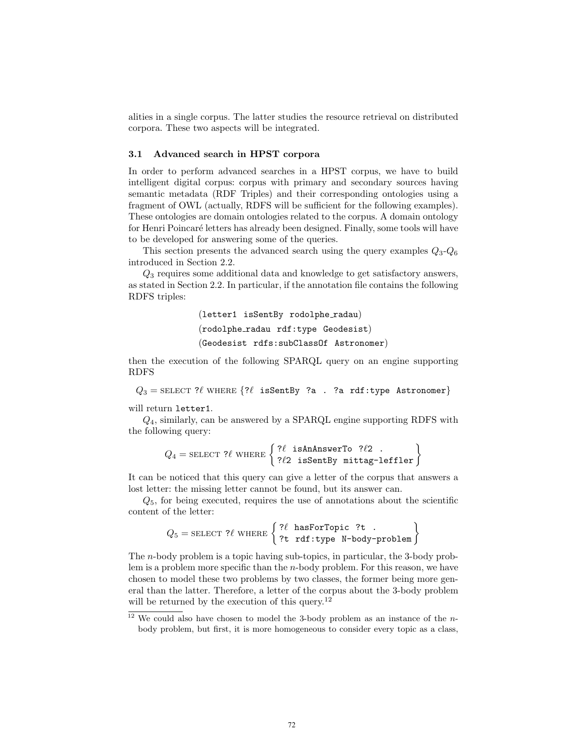alities in a single corpus. The latter studies the resource retrieval on distributed corpora. These two aspects will be integrated.

#### 3.1 Advanced search in HPST corpora

In order to perform advanced searches in a HPST corpus, we have to build intelligent digital corpus: corpus with primary and secondary sources having semantic metadata (RDF Triples) and their corresponding ontologies using a fragment of OWL (actually, RDFS will be sufficient for the following examples). These ontologies are domain ontologies related to the corpus. A domain ontology for Henri Poincar´e letters has already been designed. Finally, some tools will have to be developed for answering some of the queries.

This section presents the advanced search using the query examples  $Q_3 - Q_6$ introduced in Section 2.2.

Q<sup>3</sup> requires some additional data and knowledge to get satisfactory answers, as stated in Section 2.2. In particular, if the annotation file contains the following RDFS triples:

> (letter1 isSentBy rodolphe\_radau) (rodolphe radau rdf:type Geodesist) (Geodesist rdfs:subClassOf Astronomer)

then the execution of the following SPARQL query on an engine supporting RDFS

 $Q_3$  = SELECT ? $\ell$  WHERE  $\{? \ell$  isSentBy ?a . ?a rdf:type Astronomer}

will return letter1.

 $Q_4$ , similarly, can be answered by a SPARQL engine supporting RDFS with the following query:

$$
Q_4 = \text{SELECT ?}\ell \text{ WHERE } \left\{ \begin{matrix} ?\ell & \text{isAnAnswerTo ?}\ell 2 \\ ?\ell 2 & \text{isSentBy mittag-leftler} \end{matrix} \right\}
$$

It can be noticed that this query can give a letter of the corpus that answers a lost letter: the missing letter cannot be found, but its answer can.

 $Q_5$ , for being executed, requires the use of annotations about the scientific content of the letter:

$$
Q_5 = \text{SELECT ?} \ell \text{ WHERE } \begin{cases} ?\ell & \text{hasForTopic ?t } . \\ ?t & \text{rdf:type N-body-problem} \end{cases}
$$

The n-body problem is a topic having sub-topics, in particular, the 3-body problem is a problem more specific than the  $n$ -body problem. For this reason, we have chosen to model these two problems by two classes, the former being more general than the latter. Therefore, a letter of the corpus about the 3-body problem will be returned by the execution of this query.<sup>12</sup>

<sup>&</sup>lt;sup>12</sup> We could also have chosen to model the 3-body problem as an instance of the *n*body problem, but first, it is more homogeneous to consider every topic as a class,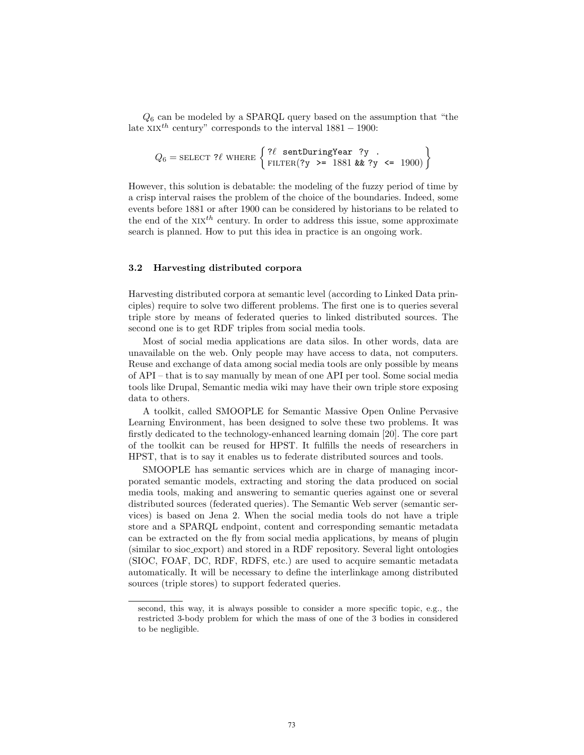$Q_6$  can be modeled by a SPARQL query based on the assumption that "the late  $XIX^{th}$  century" corresponds to the interval  $1881 - 1900$ :

$$
Q_6 = \text{SELECT ?\ell WHERE} \left\{ \begin{matrix} ?\ell & \text{sentDuringYear} \ ?\mathbf{y} \\ \text{Filter(?y >= 1881 \ \& \ \mathbf{\& y \ <= 1900)} \end{matrix} \right\}
$$

However, this solution is debatable: the modeling of the fuzzy period of time by a crisp interval raises the problem of the choice of the boundaries. Indeed, some events before 1881 or after 1900 can be considered by historians to be related to the end of the  $X_iX_i$ <sup>th</sup> century. In order to address this issue, some approximate search is planned. How to put this idea in practice is an ongoing work.

### 3.2 Harvesting distributed corpora

Harvesting distributed corpora at semantic level (according to Linked Data principles) require to solve two different problems. The first one is to queries several triple store by means of federated queries to linked distributed sources. The second one is to get RDF triples from social media tools.

Most of social media applications are data silos. In other words, data are unavailable on the web. Only people may have access to data, not computers. Reuse and exchange of data among social media tools are only possible by means of API – that is to say manually by mean of one API per tool. Some social media tools like Drupal, Semantic media wiki may have their own triple store exposing data to others.

A toolkit, called SMOOPLE for Semantic Massive Open Online Pervasive Learning Environment, has been designed to solve these two problems. It was firstly dedicated to the technology-enhanced learning domain [20]. The core part of the toolkit can be reused for HPST. It fulfills the needs of researchers in HPST, that is to say it enables us to federate distributed sources and tools.

SMOOPLE has semantic services which are in charge of managing incorporated semantic models, extracting and storing the data produced on social media tools, making and answering to semantic queries against one or several distributed sources (federated queries). The Semantic Web server (semantic services) is based on Jena 2. When the social media tools do not have a triple store and a SPARQL endpoint, content and corresponding semantic metadata can be extracted on the fly from social media applications, by means of plugin (similar to sioc export) and stored in a RDF repository. Several light ontologies (SIOC, FOAF, DC, RDF, RDFS, etc.) are used to acquire semantic metadata automatically. It will be necessary to define the interlinkage among distributed sources (triple stores) to support federated queries.

second, this way, it is always possible to consider a more specific topic, e.g., the restricted 3-body problem for which the mass of one of the 3 bodies in considered to be negligible.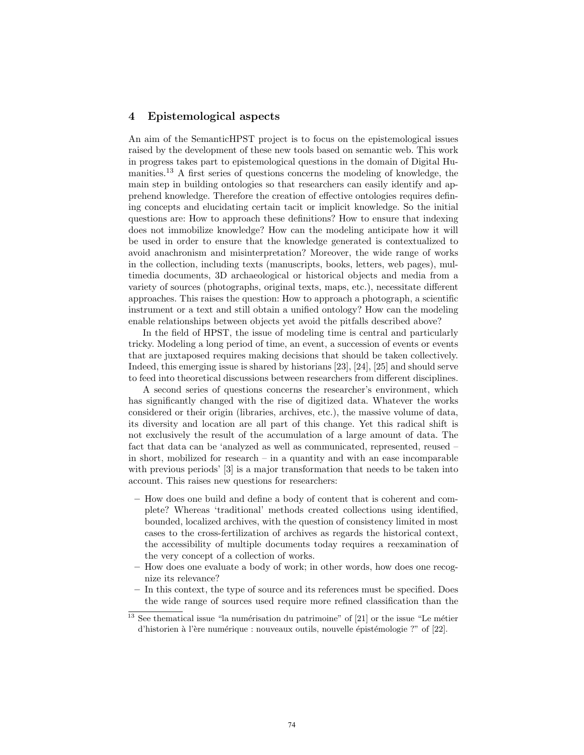## 4 Epistemological aspects

An aim of the SemanticHPST project is to focus on the epistemological issues raised by the development of these new tools based on semantic web. This work in progress takes part to epistemological questions in the domain of Digital Humanities.<sup>13</sup> A first series of questions concerns the modeling of knowledge, the main step in building ontologies so that researchers can easily identify and apprehend knowledge. Therefore the creation of effective ontologies requires defining concepts and elucidating certain tacit or implicit knowledge. So the initial questions are: How to approach these definitions? How to ensure that indexing does not immobilize knowledge? How can the modeling anticipate how it will be used in order to ensure that the knowledge generated is contextualized to avoid anachronism and misinterpretation? Moreover, the wide range of works in the collection, including texts (manuscripts, books, letters, web pages), multimedia documents, 3D archaeological or historical objects and media from a variety of sources (photographs, original texts, maps, etc.), necessitate different approaches. This raises the question: How to approach a photograph, a scientific instrument or a text and still obtain a unified ontology? How can the modeling enable relationships between objects yet avoid the pitfalls described above?

In the field of HPST, the issue of modeling time is central and particularly tricky. Modeling a long period of time, an event, a succession of events or events that are juxtaposed requires making decisions that should be taken collectively. Indeed, this emerging issue is shared by historians [23], [24], [25] and should serve to feed into theoretical discussions between researchers from different disciplines.

A second series of questions concerns the researcher's environment, which has significantly changed with the rise of digitized data. Whatever the works considered or their origin (libraries, archives, etc.), the massive volume of data, its diversity and location are all part of this change. Yet this radical shift is not exclusively the result of the accumulation of a large amount of data. The fact that data can be 'analyzed as well as communicated, represented, reused – in short, mobilized for research – in a quantity and with an ease incomparable with previous periods' [3] is a major transformation that needs to be taken into account. This raises new questions for researchers:

- How does one build and define a body of content that is coherent and complete? Whereas 'traditional' methods created collections using identified, bounded, localized archives, with the question of consistency limited in most cases to the cross-fertilization of archives as regards the historical context, the accessibility of multiple documents today requires a reexamination of the very concept of a collection of works.
- How does one evaluate a body of work; in other words, how does one recognize its relevance?
- In this context, the type of source and its references must be specified. Does the wide range of sources used require more refined classification than the

 $13$  See thematical issue "la numérisation du patrimoine" of [21] or the issue "Le métier d'historien à l'ère numérique : nouveaux outils, nouvelle épistémologie ?" of  $[22]$ .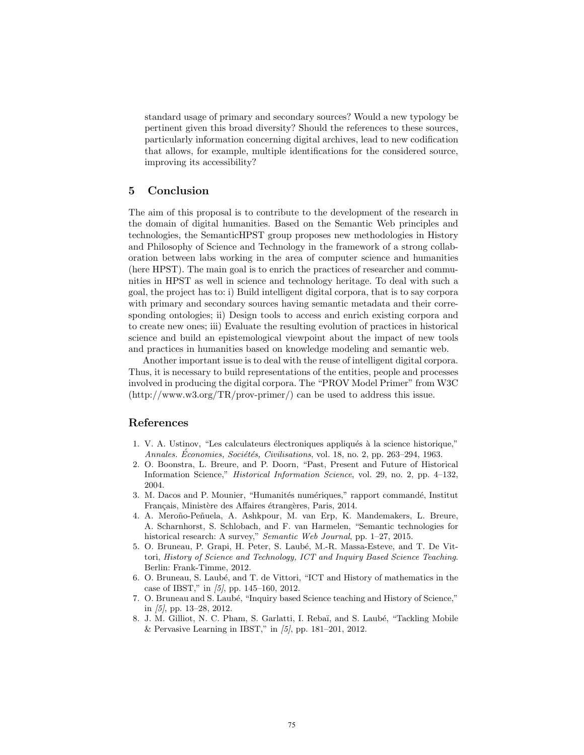standard usage of primary and secondary sources? Would a new typology be pertinent given this broad diversity? Should the references to these sources, particularly information concerning digital archives, lead to new codification that allows, for example, multiple identifications for the considered source, improving its accessibility?

## 5 Conclusion

The aim of this proposal is to contribute to the development of the research in the domain of digital humanities. Based on the Semantic Web principles and technologies, the SemanticHPST group proposes new methodologies in History and Philosophy of Science and Technology in the framework of a strong collaboration between labs working in the area of computer science and humanities (here HPST). The main goal is to enrich the practices of researcher and communities in HPST as well in science and technology heritage. To deal with such a goal, the project has to: i) Build intelligent digital corpora, that is to say corpora with primary and secondary sources having semantic metadata and their corresponding ontologies; ii) Design tools to access and enrich existing corpora and to create new ones; iii) Evaluate the resulting evolution of practices in historical science and build an epistemological viewpoint about the impact of new tools and practices in humanities based on knowledge modeling and semantic web.

Another important issue is to deal with the reuse of intelligent digital corpora. Thus, it is necessary to build representations of the entities, people and processes involved in producing the digital corpora. The "PROV Model Primer" from W3C (http://www.w3.org/TR/prov-primer/) can be used to address this issue.

## References

- 1. V. A. Ustinov, "Les calculateurs électroniques appliqués à la science historique," Annales. Économies, Sociétés, Civilisations, vol. 18, no. 2, pp. 263–294, 1963.
- 2. O. Boonstra, L. Breure, and P. Doorn, "Past, Present and Future of Historical Information Science," Historical Information Science, vol. 29, no. 2, pp. 4–132, 2004.
- 3. M. Dacos and P. Mounier, "Humanités numériques," rapport commandé, Institut Français, Ministère des Affaires étrangères, Paris, 2014.
- 4. A. Mero˜no-Pe˜nuela, A. Ashkpour, M. van Erp, K. Mandemakers, L. Breure, A. Scharnhorst, S. Schlobach, and F. van Harmelen, "Semantic technologies for historical research: A survey," Semantic Web Journal, pp. 1–27, 2015.
- 5. O. Bruneau, P. Grapi, H. Peter, S. Laubé, M.-R. Massa-Esteve, and T. De Vittori, History of Science and Technology, ICT and Inquiry Based Science Teaching. Berlin: Frank-Timme, 2012.
- 6. O. Bruneau, S. Laub´e, and T. de Vittori, "ICT and History of mathematics in the case of IBST," in [5], pp. 145–160, 2012.
- 7. O. Bruneau and S. Laubé, "Inquiry based Science teaching and History of Science," in [5], pp. 13–28, 2012.
- 8. J. M. Gilliot, N. C. Pham, S. Garlatti, I. Rebaï, and S. Laubé, "Tackling Mobile & Pervasive Learning in IBST," in  $[5]$ , pp. 181-201, 2012.